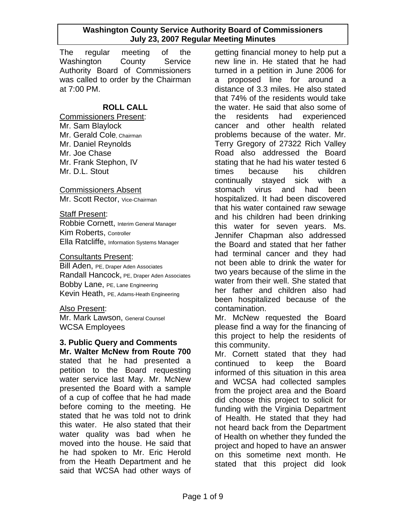The regular meeting of the Washington County Service Authority Board of Commissioners was called to order by the Chairman at 7:00 PM.

# **ROLL CALL**

Commissioners Present: Mr. Sam Blaylock Mr. Gerald Cole, Chairman Mr. Daniel Reynolds Mr. Joe Chase Mr. Frank Stephon, IV Mr. D.L. Stout

Commissioners Absent Mr. Scott Rector, Vice-Chairman

#### Staff Present:

Robbie Cornett, Interim General Manager Kim Roberts, Controller Ella Ratcliffe, Information Systems Manager

#### Consultants Present:

Bill Aden, PE, Draper Aden Associates Randall Hancock, PE, Draper Aden Associates Bobby Lane, PE, Lane Engineering Kevin Heath, PE, Adams-Heath Engineering

# Also Present:

Mr. Mark Lawson, General Counsel WCSA Employees

# **3. Public Query and Comments**

**Mr. Walter McNew from Route 700** stated that he had presented a petition to the Board requesting water service last May. Mr. McNew presented the Board with a sample of a cup of coffee that he had made before coming to the meeting. He stated that he was told not to drink this water. He also stated that their water quality was bad when he moved into the house. He said that he had spoken to Mr. Eric Herold from the Heath Department and he said that WCSA had other ways of

getting financial money to help put a new line in. He stated that he had turned in a petition in June 2006 for a proposed line for around a distance of 3.3 miles. He also stated that 74% of the residents would take the water. He said that also some of the residents had experienced cancer and other health related problems because of the water. Mr. Terry Gregory of 27322 Rich Valley Road also addressed the Board stating that he had his water tested 6 times because his children continually stayed sick with a stomach virus and had been hospitalized. It had been discovered that his water contained raw sewage and his children had been drinking this water for seven years. Ms. Jennifer Chapman also addressed the Board and stated that her father had terminal cancer and they had not been able to drink the water for two years because of the slime in the water from their well. She stated that her father and children also had been hospitalized because of the contamination.

Mr. McNew requested the Board please find a way for the financing of this project to help the residents of this community.

Mr. Cornett stated that they had continued to keep the Board informed of this situation in this area and WCSA had collected samples from the project area and the Board did choose this project to solicit for funding with the Virginia Department of Health. He stated that they had not heard back from the Department of Health on whether they funded the project and hoped to have an answer on this sometime next month. He stated that this project did look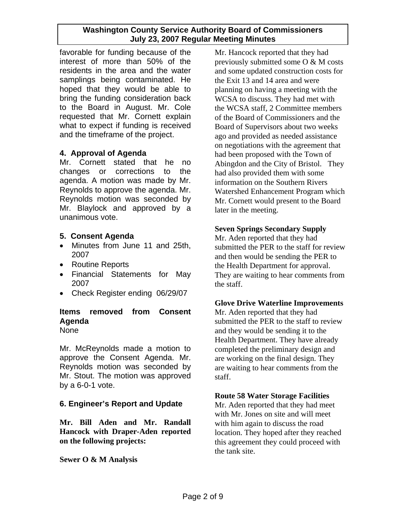favorable for funding because of the interest of more than 50% of the residents in the area and the water samplings being contaminated. He hoped that they would be able to bring the funding consideration back to the Board in August. Mr. Cole requested that Mr. Cornett explain what to expect if funding is received and the timeframe of the project.

# **4. Approval of Agenda**

Mr. Cornett stated that he no changes or corrections to the agenda. A motion was made by Mr. Reynolds to approve the agenda. Mr. Reynolds motion was seconded by Mr. Blaylock and approved by a unanimous vote.

# **5. Consent Agenda**

- Minutes from June 11 and 25th, 2007
- Routine Reports
- Financial Statements for May 2007
- Check Register ending 06/29/07

# **Items removed from Consent Agenda**

None

Mr. McReynolds made a motion to approve the Consent Agenda. Mr. Reynolds motion was seconded by Mr. Stout. The motion was approved by a 6-0-1 vote.

# **6. Engineer's Report and Update**

**Mr. Bill Aden and Mr. Randall Hancock with Draper-Aden reported on the following projects:** 

**Sewer O & M Analysis** 

Mr. Hancock reported that they had previously submitted some O & M costs and some updated construction costs for the Exit 13 and 14 area and were planning on having a meeting with the WCSA to discuss. They had met with the WCSA staff, 2 Committee members of the Board of Commissioners and the Board of Supervisors about two weeks ago and provided as needed assistance on negotiations with the agreement that had been proposed with the Town of Abingdon and the City of Bristol. They had also provided them with some information on the Southern Rivers Watershed Enhancement Program which Mr. Cornett would present to the Board later in the meeting.

# **Seven Springs Secondary Supply**

Mr. Aden reported that they had submitted the PER to the staff for review and then would be sending the PER to the Health Department for approval. They are waiting to hear comments from the staff.

# **Glove Drive Waterline Improvements**

Mr. Aden reported that they had submitted the PER to the staff to review and they would be sending it to the Health Department. They have already completed the preliminary design and are working on the final design. They are waiting to hear comments from the staff.

# **Route 58 Water Storage Facilities**

Mr. Aden reported that they had meet with Mr. Jones on site and will meet with him again to discuss the road location. They hoped after they reached this agreement they could proceed with the tank site.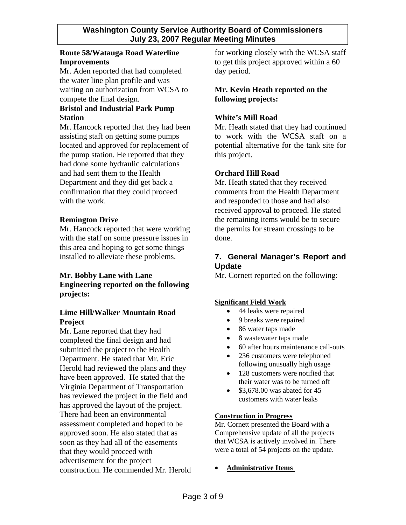# **Route 58/Watauga Road Waterline Improvements**

Mr. Aden reported that had completed the water line plan profile and was waiting on authorization from WCSA to compete the final design.

# **Bristol and Industrial Park Pump Station**

Mr. Hancock reported that they had been assisting staff on getting some pumps located and approved for replacement of the pump station. He reported that they had done some hydraulic calculations and had sent them to the Health Department and they did get back a confirmation that they could proceed with the work.

# **Remington Drive**

Mr. Hancock reported that were working with the staff on some pressure issues in this area and hoping to get some things installed to alleviate these problems.

#### **Mr. Bobby Lane with Lane Engineering reported on the following projects:**

# **Lime Hill/Walker Mountain Road Project**

Mr. Lane reported that they had completed the final design and had submitted the project to the Health Department. He stated that Mr. Eric Herold had reviewed the plans and they have been approved. He stated that the Virginia Department of Transportation has reviewed the project in the field and has approved the layout of the project. There had been an environmental assessment completed and hoped to be approved soon. He also stated that as soon as they had all of the easements that they would proceed with advertisement for the project construction. He commended Mr. Herold for working closely with the WCSA staff to get this project approved within a 60 day period.

# **Mr. Kevin Heath reported on the following projects:**

# **White's Mill Road**

Mr. Heath stated that they had continued to work with the WCSA staff on a potential alternative for the tank site for this project.

# **Orchard Hill Road**

Mr. Heath stated that they received comments from the Health Department and responded to those and had also received approval to proceed. He stated the remaining items would be to secure the permits for stream crossings to be done.

# **7. General Manager's Report and Update**

Mr. Cornett reported on the following:

# **Significant Field Work**

- 44 leaks were repaired
- 9 breaks were repaired
- 86 water taps made
- 8 wastewater taps made
- 60 after hours maintenance call-outs
- 236 customers were telephoned following unusually high usage
- 128 customers were notified that their water was to be turned off
- $$3,678.00$  was abated for 45 customers with water leaks

#### **Construction in Progress**

Mr. Cornett presented the Board with a Comprehensive update of all the projects that WCSA is actively involved in. There were a total of 54 projects on the update.

#### • **Administrative Items**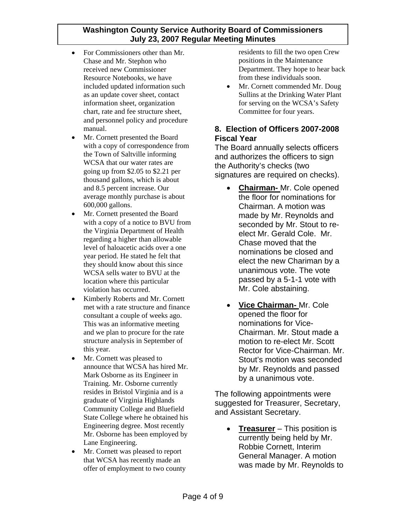- For Commissioners other than Mr. Chase and Mr. Stephon who received new Commissioner Resource Notebooks, we have included updated information such as an update cover sheet, contact information sheet, organization chart, rate and fee structure sheet, and personnel policy and procedure manual.
- Mr. Cornett presented the Board with a copy of correspondence from the Town of Saltville informing WCSA that our water rates are going up from \$2.05 to \$2.21 per thousand gallons, which is about and 8.5 percent increase. Our average monthly purchase is about 600,000 gallons.
- Mr. Cornett presented the Board with a copy of a notice to BVU from the Virginia Department of Health regarding a higher than allowable level of haloacetic acids over a one year period. He stated he felt that they should know about this since WCSA sells water to BVU at the location where this particular violation has occurred.
- Kimberly Roberts and Mr. Cornett met with a rate structure and finance consultant a couple of weeks ago. This was an informative meeting and we plan to procure for the rate structure analysis in September of this year.
- Mr. Cornett was pleased to announce that WCSA has hired Mr. Mark Osborne as its Engineer in Training. Mr. Osborne currently resides in Bristol Virginia and is a graduate of Virginia Highlands Community College and Bluefield State College where he obtained his Engineering degree. Most recently Mr. Osborne has been employed by Lane Engineering.
- Mr. Cornett was pleased to report that WCSA has recently made an offer of employment to two county

residents to fill the two open Crew positions in the Maintenance Department. They hope to hear back from these individuals soon.

• Mr. Cornett commended Mr. Doug Sullins at the Drinking Water Plant for serving on the WCSA's Safety Committee for four years.

# **8. Election of Officers 2007-2008 Fiscal Year**

The Board annually selects officers and authorizes the officers to sign the Authority's checks (two signatures are required on checks).

- **Chairman-** Mr. Cole opened the floor for nominations for Chairman. A motion was made by Mr. Reynolds and seconded by Mr. Stout to reelect Mr. Gerald Cole. Mr. Chase moved that the nominations be closed and elect the new Chariman by a unanimous vote. The vote passed by a 5-1-1 vote with Mr. Cole abstaining.
- **Vice Chairman-** Mr. Cole opened the floor for nominations for Vice-Chairman. Mr. Stout made a motion to re-elect Mr. Scott Rector for Vice-Chairman. Mr. Stout's motion was seconded by Mr. Reynolds and passed by a unanimous vote.

The following appointments were suggested for Treasurer, Secretary, and Assistant Secretary.

• **Treasurer** – This position is currently being held by Mr. Robbie Cornett, Interim General Manager. A motion was made by Mr. Reynolds to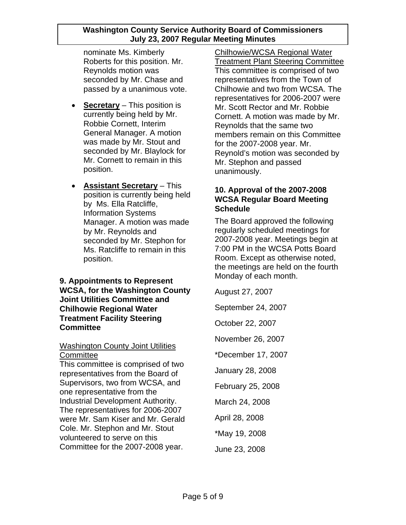nominate Ms. Kimberly Roberts for this position. Mr. Reynolds motion was seconded by Mr. Chase and passed by a unanimous vote.

- **Secretary** This position is currently being held by Mr. Robbie Cornett, Interim General Manager. A motion was made by Mr. Stout and seconded by Mr. Blaylock for Mr. Cornett to remain in this position.
- **Assistant Secretary** This position is currently being held by Ms. Ella Ratcliffe, Information Systems Manager. A motion was made by Mr. Reynolds and seconded by Mr. Stephon for Ms. Ratcliffe to remain in this position.

# **9. Appointments to Represent WCSA, for the Washington County Joint Utilities Committee and Chilhowie Regional Water Treatment Facility Steering Committee**

#### **Washington County Joint Utilities Committee**

This committee is comprised of two representatives from the Board of Supervisors, two from WCSA, and one representative from the Industrial Development Authority. The representatives for 2006-2007 were Mr. Sam Kiser and Mr. Gerald Cole. Mr. Stephon and Mr. Stout volunteered to serve on this Committee for the 2007-2008 year.

Chilhowie/WCSA Regional Water Treatment Plant Steering Committee This committee is comprised of two representatives from the Town of Chilhowie and two from WCSA. The representatives for 2006-2007 were Mr. Scott Rector and Mr. Robbie Cornett. A motion was made by Mr. Reynolds that the same two members remain on this Committee for the 2007-2008 year. Mr. Reynold's motion was seconded by Mr. Stephon and passed unanimously.

# **10. Approval of the 2007-2008 WCSA Regular Board Meeting Schedule**

The Board approved the following regularly scheduled meetings for 2007-2008 year. Meetings begin at 7:00 PM in the WCSA Potts Board Room. Except as otherwise noted, the meetings are held on the fourth Monday of each month.

August 27, 2007

September 24, 2007

October 22, 2007

November 26, 2007

\*December 17, 2007

January 28, 2008

February 25, 2008

March 24, 2008

April 28, 2008

\*May 19, 2008

June 23, 2008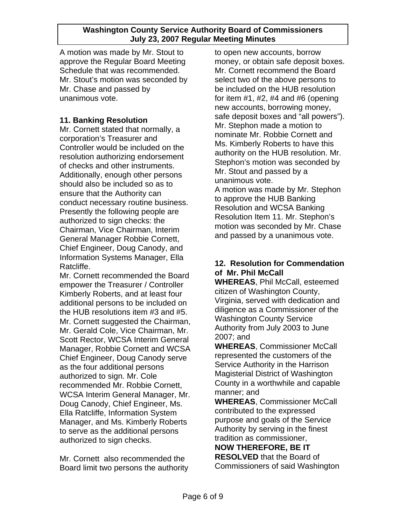A motion was made by Mr. Stout to approve the Regular Board Meeting Schedule that was recommended. Mr. Stout's motion was seconded by Mr. Chase and passed by unanimous vote.

# **11. Banking Resolution**

Mr. Cornett stated that normally, a corporation's Treasurer and Controller would be included on the resolution authorizing endorsement of checks and other instruments. Additionally, enough other persons should also be included so as to ensure that the Authority can conduct necessary routine business. Presently the following people are authorized to sign checks: the Chairman, Vice Chairman, Interim General Manager Robbie Cornett, Chief Engineer, Doug Canody, and Information Systems Manager, Ella Ratcliffe.

Mr. Cornett recommended the Board empower the Treasurer / Controller Kimberly Roberts, and at least four additional persons to be included on the HUB resolutions item #3 and #5. Mr. Cornett suggested the Chairman. Mr. Gerald Cole, Vice Chairman, Mr. Scott Rector, WCSA Interim General Manager, Robbie Cornett and WCSA Chief Engineer, Doug Canody serve as the four additional persons authorized to sign. Mr. Cole recommended Mr. Robbie Cornett, WCSA Interim General Manager, Mr. Doug Canody, Chief Engineer, Ms. Ella Ratcliffe, Information System Manager, and Ms. Kimberly Roberts to serve as the additional persons authorized to sign checks.

Mr. Cornett also recommended the Board limit two persons the authority to open new accounts, borrow money, or obtain safe deposit boxes. Mr. Cornett recommend the Board select two of the above persons to be included on the HUB resolution for item  $#1, #2, #4$  and  $#6$  (opening new accounts, borrowing money, safe deposit boxes and "all powers"). Mr. Stephon made a motion to nominate Mr. Robbie Cornett and Ms. Kimberly Roberts to have this authority on the HUB resolution. Mr. Stephon's motion was seconded by Mr. Stout and passed by a unanimous vote.

A motion was made by Mr. Stephon to approve the HUB Banking Resolution and WCSA Banking Resolution Item 11. Mr. Stephon's motion was seconded by Mr. Chase and passed by a unanimous vote.

# **12. Resolution for Commendation of Mr. Phil McCall**

**WHEREAS**, Phil McCall, esteemed citizen of Washington County, Virginia, served with dedication and diligence as a Commissioner of the Washington County Service Authority from July 2003 to June 2007; and

**WHEREAS**, Commissioner McCall represented the customers of the Service Authority in the Harrison Magisterial District of Washington County in a worthwhile and capable manner; and

**WHEREAS**, Commissioner McCall contributed to the expressed purpose and goals of the Service Authority by serving in the finest tradition as commissioner, **NOW THEREFORE, BE IT** 

**RESOLVED** that the Board of Commissioners of said Washington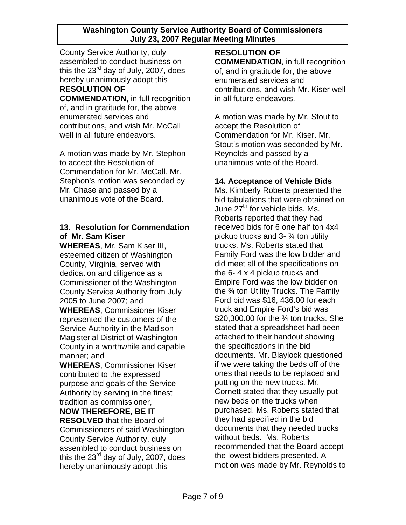County Service Authority, duly assembled to conduct business on this the 23<sup>rd</sup> day of July, 2007, does hereby unanimously adopt this **RESOLUTION OF COMMENDATION,** in full recognition

of, and in gratitude for, the above enumerated services and contributions, and wish Mr. McCall well in all future endeavors.

A motion was made by Mr. Stephon to accept the Resolution of Commendation for Mr. McCall. Mr. Stephon's motion was seconded by Mr. Chase and passed by a unanimous vote of the Board.

# **13. Resolution for Commendation of Mr. Sam Kiser**

**WHEREAS**, Mr. Sam Kiser III, esteemed citizen of Washington County, Virginia, served with dedication and diligence as a Commissioner of the Washington County Service Authority from July 2005 to June 2007; and

**WHEREAS**, Commissioner Kiser represented the customers of the Service Authority in the Madison Magisterial District of Washington County in a worthwhile and capable manner; and

**WHEREAS**, Commissioner Kiser contributed to the expressed purpose and goals of the Service Authority by serving in the finest tradition as commissioner,

**NOW THEREFORE, BE IT RESOLVED** that the Board of Commissioners of said Washington County Service Authority, duly assembled to conduct business on this the  $23^{\text{rd}}$  day of July, 2007, does hereby unanimously adopt this

**RESOLUTION OF COMMENDATION**, in full recognition of, and in gratitude for, the above enumerated services and contributions, and wish Mr. Kiser well in all future endeavors.

A motion was made by Mr. Stout to accept the Resolution of Commendation for Mr. Kiser. Mr. Stout's motion was seconded by Mr. Reynolds and passed by a unanimous vote of the Board.

# **14. Acceptance of Vehicle Bids**

Ms. Kimberly Roberts presented the bid tabulations that were obtained on June 27<sup>th</sup> for vehicle bids. Ms. Roberts reported that they had received bids for 6 one half ton 4x4 pickup trucks and 3- ¾ ton utility trucks. Ms. Roberts stated that Family Ford was the low bidder and did meet all of the specifications on the 6- 4 x 4 pickup trucks and Empire Ford was the low bidder on the ¾ ton Utility Trucks. The Family Ford bid was \$16, 436.00 for each truck and Empire Ford's bid was \$20,300,00 for the  $\frac{3}{4}$  ton trucks. She stated that a spreadsheet had been attached to their handout showing the specifications in the bid documents. Mr. Blaylock questioned if we were taking the beds off of the ones that needs to be replaced and putting on the new trucks. Mr. Cornett stated that they usually put new beds on the trucks when purchased. Ms. Roberts stated that they had specified in the bid documents that they needed trucks without beds. Ms. Roberts recommended that the Board accept the lowest bidders presented. A motion was made by Mr. Reynolds to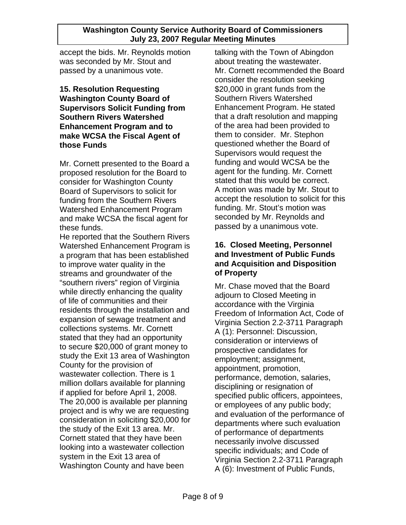accept the bids. Mr. Reynolds motion was seconded by Mr. Stout and passed by a unanimous vote.

# **15. Resolution Requesting Washington County Board of Supervisors Solicit Funding from Southern Rivers Watershed Enhancement Program and to make WCSA the Fiscal Agent of those Funds**

Mr. Cornett presented to the Board a proposed resolution for the Board to consider for Washington County Board of Supervisors to solicit for funding from the Southern Rivers Watershed Enhancement Program and make WCSA the fiscal agent for these funds.

He reported that the Southern Rivers Watershed Enhancement Program is a program that has been established to improve water quality in the streams and groundwater of the "southern rivers" region of Virginia while directly enhancing the quality of life of communities and their residents through the installation and expansion of sewage treatment and collections systems. Mr. Cornett stated that they had an opportunity to secure \$20,000 of grant money to study the Exit 13 area of Washington County for the provision of wastewater collection. There is 1 million dollars available for planning if applied for before April 1, 2008. The 20,000 is available per planning project and is why we are requesting consideration in soliciting \$20,000 for the study of the Exit 13 area. Mr. Cornett stated that they have been looking into a wastewater collection system in the Exit 13 area of Washington County and have been

talking with the Town of Abingdon about treating the wastewater. Mr. Cornett recommended the Board consider the resolution seeking \$20,000 in grant funds from the Southern Rivers Watershed Enhancement Program. He stated that a draft resolution and mapping of the area had been provided to them to consider. Mr. Stephon questioned whether the Board of Supervisors would request the funding and would WCSA be the agent for the funding. Mr. Cornett stated that this would be correct. A motion was made by Mr. Stout to accept the resolution to solicit for this funding. Mr. Stout's motion was seconded by Mr. Reynolds and passed by a unanimous vote.

# **16. Closed Meeting, Personnel and Investment of Public Funds and Acquisition and Disposition of Property**

Mr. Chase moved that the Board adjourn to Closed Meeting in accordance with the Virginia Freedom of Information Act, Code of Virginia Section 2.2-3711 Paragraph A (1): Personnel: Discussion, consideration or interviews of prospective candidates for employment; assignment, appointment, promotion, performance, demotion, salaries, disciplining or resignation of specified public officers, appointees, or employees of any public body; and evaluation of the performance of departments where such evaluation of performance of departments necessarily involve discussed specific individuals; and Code of Virginia Section 2.2-3711 Paragraph A (6): Investment of Public Funds,